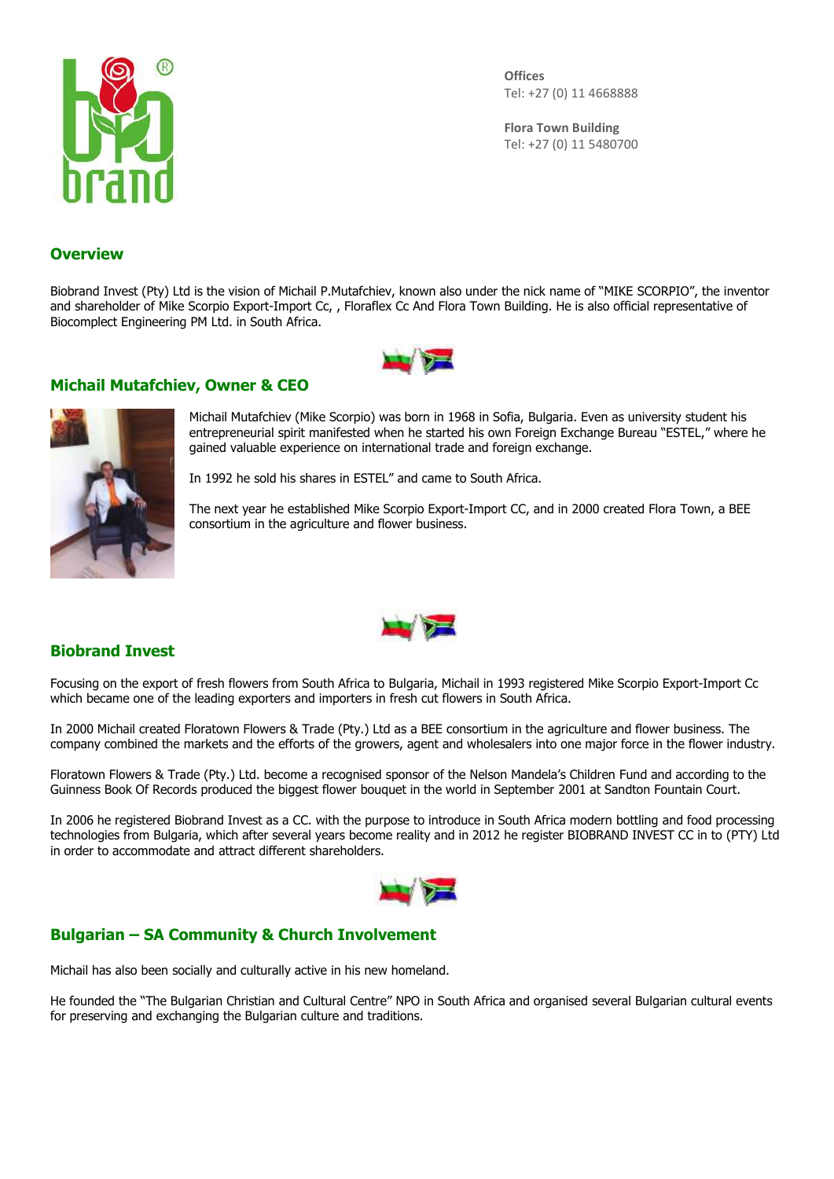

**Offices** Tel: +27 (0) 11 4668888

**Flora Town Building** Tel: +27 (0) 11 5480700

## **Overview**

Biobrand Invest (Pty) Ltd is the vision of Michail P.Mutafchiev, known also under the nick name of "MIKE SCORPIO", the inventor and shareholder of Mike Scorpio Export-Import Cc, , Floraflex Cc And Flora Town Building. He is also official representative of Biocomplect Engineering PM Ltd. in South Africa.



## **Michail Mutafchiev, Owner & CEO**



Michail Mutafchiev (Mike Scorpio) was born in 1968 in Sofia, Bulgaria. Even as university student his entrepreneurial spirit manifested when he started his own Foreign Exchange Bureau "ESTEL," where he gained valuable experience on international trade and foreign exchange.

In 1992 he sold his shares in ESTEL" and came to South Africa.

The next year he established Mike Scorpio Export-Import CC, and in 2000 created Flora Town, a BEE consortium in the agriculture and flower business.



## **Biobrand Invest**

Focusing on the export of fresh flowers from South Africa to Bulgaria, Michail in 1993 registered Mike Scorpio Export-Import Cc which became one of the leading exporters and importers in fresh cut flowers in South Africa.

In 2000 Michail created Floratown Flowers & Trade (Pty.) Ltd as a BEE consortium in the agriculture and flower business. The company combined the markets and the efforts of the growers, agent and wholesalers into one major force in the flower industry.

Floratown Flowers & Trade (Pty.) Ltd. become a recognised sponsor of the Nelson Mandela's Children Fund and according to the Guinness Book Of Records produced the biggest flower bouquet in the world in September 2001 at Sandton Fountain Court.

In 2006 he registered Biobrand Invest as a CC. with the purpose to introduce in South Africa modern bottling and food processing technologies from Bulgaria, which after several years become reality and in 2012 he register BIOBRAND INVEST CC in to (PTY) Ltd in order to accommodate and attract different shareholders.



## **Bulgarian – SA Community & Church Involvement**

Michail has also been socially and culturally active in his new homeland.

He founded the "The Bulgarian Christian and Cultural Centre" NPO in South Africa and organised several Bulgarian cultural events for preserving and exchanging the Bulgarian culture and traditions.